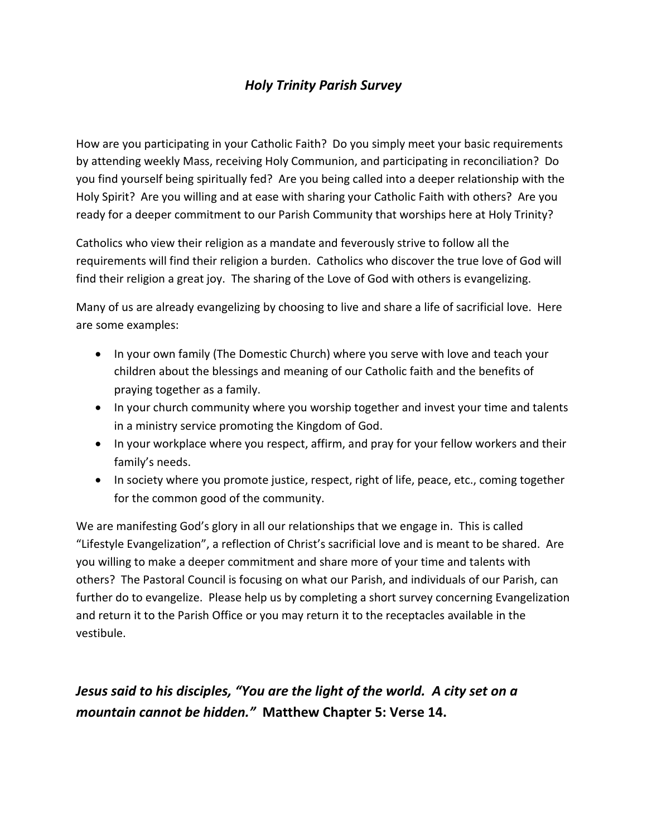## *Holy Trinity Parish Survey*

How are you participating in your Catholic Faith? Do you simply meet your basic requirements by attending weekly Mass, receiving Holy Communion, and participating in reconciliation? Do you find yourself being spiritually fed? Are you being called into a deeper relationship with the Holy Spirit? Are you willing and at ease with sharing your Catholic Faith with others? Are you ready for a deeper commitment to our Parish Community that worships here at Holy Trinity?

Catholics who view their religion as a mandate and feverously strive to follow all the requirements will find their religion a burden. Catholics who discover the true love of God will find their religion a great joy. The sharing of the Love of God with others is evangelizing.

Many of us are already evangelizing by choosing to live and share a life of sacrificial love. Here are some examples:

- In your own family (The Domestic Church) where you serve with love and teach your children about the blessings and meaning of our Catholic faith and the benefits of praying together as a family.
- In your church community where you worship together and invest your time and talents in a ministry service promoting the Kingdom of God.
- In your workplace where you respect, affirm, and pray for your fellow workers and their family's needs.
- In society where you promote justice, respect, right of life, peace, etc., coming together for the common good of the community.

We are manifesting God's glory in all our relationships that we engage in. This is called "Lifestyle Evangelization", a reflection of Christ's sacrificial love and is meant to be shared. Are you willing to make a deeper commitment and share more of your time and talents with others? The Pastoral Council is focusing on what our Parish, and individuals of our Parish, can further do to evangelize. Please help us by completing a short survey concerning Evangelization and return it to the Parish Office or you may return it to the receptacles available in the vestibule.

## *Jesus said to his disciples, "You are the light of the world. A city set on a mountain cannot be hidden."* **Matthew Chapter 5: Verse 14.**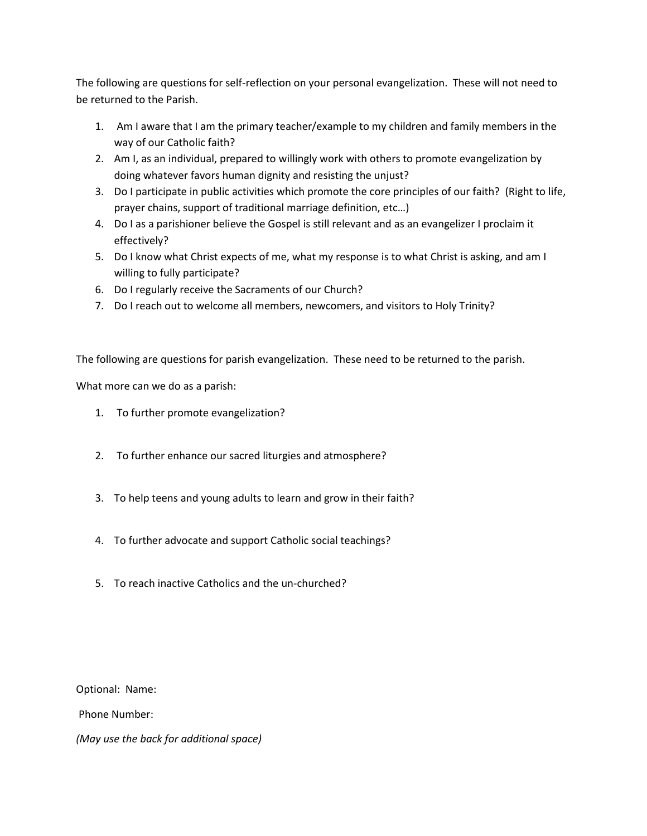The following are questions for self-reflection on your personal evangelization. These will not need to be returned to the Parish.

- 1. Am I aware that I am the primary teacher/example to my children and family members in the way of our Catholic faith?
- 2. Am I, as an individual, prepared to willingly work with others to promote evangelization by doing whatever favors human dignity and resisting the unjust?
- 3. Do I participate in public activities which promote the core principles of our faith? (Right to life, prayer chains, support of traditional marriage definition, etc…)
- 4. Do I as a parishioner believe the Gospel is still relevant and as an evangelizer I proclaim it effectively?
- 5. Do I know what Christ expects of me, what my response is to what Christ is asking, and am I willing to fully participate?
- 6. Do I regularly receive the Sacraments of our Church?
- 7. Do I reach out to welcome all members, newcomers, and visitors to Holy Trinity?

The following are questions for parish evangelization. These need to be returned to the parish.

What more can we do as a parish:

- 1. To further promote evangelization?
- 2. To further enhance our sacred liturgies and atmosphere?
- 3. To help teens and young adults to learn and grow in their faith?
- 4. To further advocate and support Catholic social teachings?
- 5. To reach inactive Catholics and the un-churched?

Optional: Name:

Phone Number:

*(May use the back for additional space)*